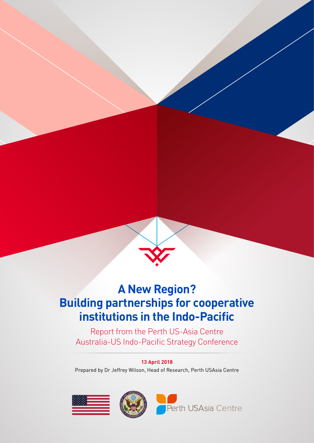

# **A New Region? Building partnerships for cooperative institutions in the Indo-Pacific**

Report from the Perth US-Asia Centre Australia-US Indo-Pacific Strategy Conference

### **13 April 2018**

Prepared by Dr Jeffrey Wilson, Head of Research, Perth USAsia Centre

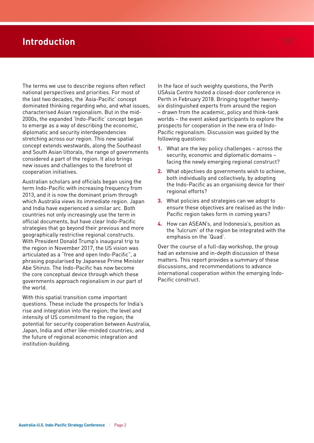# **Introduction**

The terms we use to describe regions often reflect national perspectives and priorities. For most of the last two decades, the 'Asia-Pacific' concept dominated thinking regarding who, and what issues, characterised Asian regionalism. But in the mid-2000s, the expanded 'Indo-Pacific' concept began to emerge as a way of describing the economic, diplomatic and security interdependencies stretching across our region. This new spatial concept extends westwards, along the Southeast and South Asian littorals, the range of governments considered a part of the region. It also brings new issues and challenges to the forefront of cooperation initiatives.

Australian scholars and officials began using the term Indo-Pacific with increasing frequency from 2013, and it is now the dominant prism through which Australia views its immediate region. Japan and India have experienced a similar arc. Both countries not only increasingly use the term in official documents, but have clear Indo-Pacific strategies that go beyond their previous and more geographically restrictive regional constructs. With President Donald Trump's inaugural trip to the region in November 2017, the US vision was articulated as a "free and open Indo-Pacific", a phrasing popularised by Japanese Prime Minister Abe Shinzo. The Indo-Pacific has now become the core conceptual device through which these governments approach regionalism in our part of the world.

With this spatial transition come important questions. These include the prospects for India's rise and integration into the region; the level and intensity of US commitment to the region; the potential for security cooperation between Australia, Japan, India and other like-minded countries; and the future of regional economic integration and institution-building.

In the face of such weighty questions, the Perth USAsia Centre hosted a closed-door conference in Perth in February 2018. Bringing together twentysix distinguished experts from around the region – drawn from the academic, policy and think-tank worlds – the event asked participants to explore the prospects for cooperation in the new era of Indo-Pacific regionalism. Discussion was guided by the following questions:

- **1.** What are the key policy challenges across the security, economic and diplomatic domains – facing the newly emerging regional construct?
- **2.** What objectives do governments wish to achieve, both individually and collectively, by adopting the Indo-Pacific as an organising device for their regional efforts?
- **3.** What policies and strategies can we adopt to ensure these objectives are realised as the Indo-Pacific region takes form in coming years?
- **4.** How can ASEAN's, and Indonesia's, position as the 'fulcrum' of the region be integrated with the emphasis on the 'Quad'.

Over the course of a full-day workshop, the group had an extensive and in-depth discussion of these matters. This report provides a summary of these discussions, and recommendations to advance international cooperation within the emerging Indo-Pacific construct.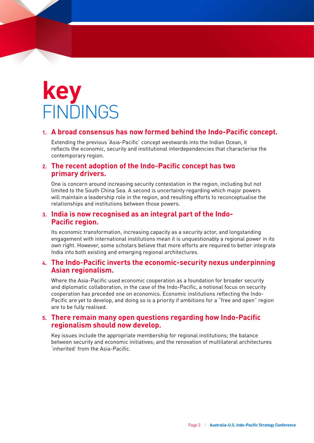# **key FINDINGS**

### **1. A broad consensus has now formed behind the Indo-Pacific concept.**

Extending the previous 'Asia-Pacific' concept westwards into the Indian Ocean, it reflects the economic, security and institutional interdependencies that characterise the contemporary region.

### **2. The recent adoption of the Indo-Pacific concept has two primary drivers.**

One is concern around increasing security contestation in the region, including but not limited to the South China Sea. A second is uncertainty regarding which major powers will maintain a leadership role in the region, and resulting efforts to reconceptualise the relationships and institutions between those powers.

### **3. India is now recognised as an integral part of the Indo-Pacific region.**

Its economic transformation, increasing capacity as a security actor, and longstanding engagement with international institutions mean it is unquestionably a regional power in its own right. However, some scholars believe that more efforts are required to better integrate India into both existing and emerging regional architectures.

### **4. The Indo-Pacific inverts the economic-security nexus underpinning Asian regionalism.**

Where the Asia-Pacific used economic cooperation as a foundation for broader security and diplomatic collaboration, in the case of the Indo-Pacific, a notional focus on security cooperation has preceded one on economics. Economic institutions reflecting the Indo-Pacific are yet to develop, and doing so is a priority if ambitions for a "free and open" region are to be fully realised.

### **5. There remain many open questions regarding how Indo-Pacific regionalism should now develop.**

Key issues include the appropriate membership for regional institutions; the balance between security and economic initiatives; and the renovation of multilateral architectures 'inherited' from the Asia-Pacific.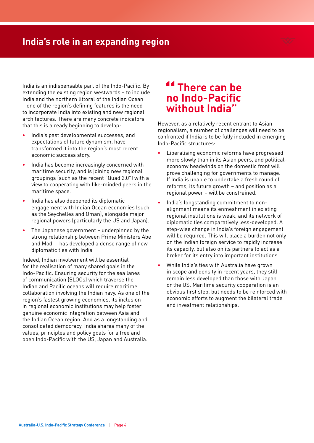# **India's role in an expanding region**



India is an indispensable part of the Indo-Pacific. By extending the existing region westwards – to include India and the northern littoral of the Indian Ocean – one of the region's defining features is the need to incorporate India into existing and new regional architectures. There are many concrete indicators that this is already beginning to develop:

- **•** India's past developmental successes, and expectations of future dynamism, have transformed it into the region's most recent economic success story.
- **•** India has become increasingly concerned with maritime security, and is joining new regional groupings (such as the recent "Quad 2.0") with a view to cooperating with like-minded peers in the maritime space.
- **•** India has also deepened its diplomatic engagement with Indian Ocean economies (such as the Seychelles and Oman), alongside major regional powers (particularly the US and Japan).
- **•** The Japanese government underpinned by the strong relationship between Prime Ministers Abe and Modi – has developed a dense range of new diplomatic ties with India

Indeed, Indian involvement will be essential for the realisation of many shared goals in the Indo-Pacific. Ensuring security for the sea lanes of communication (SLOCs) which traverse the Indian and Pacific oceans will require maritime collaboration involving the Indian navy. As one of the region's fastest growing economies, its inclusion in regional economic institutions may help foster genuine economic integration between Asia and the Indian Ocean region. And as a longstanding and consolidated democracy, India shares many of the values, principles and policy goals for a free and open Indo-Pacific with the US, Japan and Australia.

# **There can be no Indo-Pacific without India"**

However, as a relatively recent entrant to Asian regionalism, a number of challenges will need to be confronted if India is to be fully included in emerging Indo-Pacific structures:

- **•** Liberalising economic reforms have progressed more slowly than in its Asian peers, and politicaleconomy headwinds on the domestic front will prove challenging for governments to manage. If India is unable to undertake a fresh round of reforms, its future growth – and position as a regional power – will be constrained.
- **•** India's longstanding commitment to nonalignment means its enmeshment in existing regional institutions is weak, and its network of diplomatic ties comparatively less-developed. A step-wise change in India's foreign engagement will be required. This will place a burden not only on the Indian foreign service to rapidly increase its capacity, but also on its partners to act as a broker for its entry into important institutions.
- **•** While India's ties with Australia have grown in scope and density in recent years, they still remain less developed than those with Japan or the US. Maritime security cooperation is an obvious first step, but needs to be reinforced with economic efforts to augment the bilateral trade and investment relationships.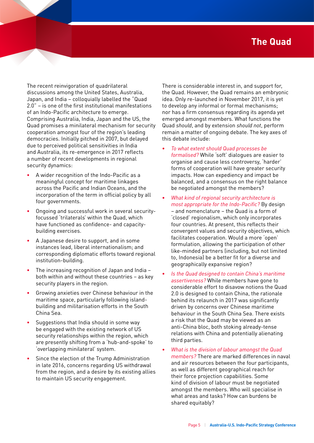# **The Quad**

The recent reinvigoration of quadrilateral discussions among the United States, Australia, Japan, and India – colloquially labelled the "Quad 2.0" – is one of the first institutional manifestations of an Indo-Pacific architecture to emerge. Comprising Australia, India, Japan and the US, the Quad promises a minilateral mechanism for security cooperation amongst four of the region's leading democracies. Initially pitched in 2007, but delayed due to perceived political sensitivities in India and Australia, its re-emergence in 2017 reflects a number of recent developments in regional security dynamics:

- **•** A wider recognition of the Indo-Pacific as a meaningful concept for maritime linkages across the Pacific and Indian Oceans, and the incorporation of the term in official policy by all four governments.
- **•** Ongoing and successful work in several securityfocussed 'trilaterals' within the Quad, which have functioned as confidence- and capacitybuilding exercises.
- **•** A Japanese desire to support, and in some instances lead, liberal internationalism; and corresponding diplomatic efforts toward regional institution-building.
- **•** The increasing recognition of Japan and India both within and without these countries – as key security players in the region.
- **•** Growing anxieties over Chinese behaviour in the maritime space, particularly following islandbuilding and militarisation efforts in the South China Sea.
- **•** Suggestions that India should in some way be engaged with the existing network of US security relationships within the region, which are presently shifting from a 'hub-and-spoke' to 'overlapping minilateral' system.
- **•** Since the election of the Trump Administration in late 2016, concerns regarding US withdrawal from the region, and a desire by its existing allies to maintain US security engagement.

There is considerable interest in, and support for, the Quad. However, the Quad remains an embryonic idea. Only re-launched in November 2017, it is yet to develop any informal or formal mechanisms; nor has a firm consensus regarding its agenda yet emerged amongst members. What functions the Quad *should*, and by extension *should not*, perform remain a matter of ongoing debate. The key axes of this debate include:

- **•** *To what extent should Quad processes be formalised?* While 'soft' dialogues are easier to organise and cause less controversy, 'harder' forms of cooperation will have greater security impacts. How can expediency and impact be balanced, and a consensus on the right balance be negotiated amongst the members?
- **•** *What kind of regional security architecture is*  most appropriate for the Indo-Pacific? By design – and nomenclature – the Quad is a form of 'closed' regionalism, which only incorporates four countries. At present, this reflects their convergent values and security objectives, which facilitates cooperation. Would a more 'open' formulation, allowing the participation of other like-minded partners (including, but not limited to, Indonesia) be a better fit for a diverse and geographically expansive region?
- **•** *Is the Quad designed to contain China's maritime assertiveness?* While members have gone to considerable effort to disavow notions the Quad 2.0 is designed to contain China, the rationale behind its relaunch in 2017 was significantly driven by concerns over Chinese maritime behaviour in the South China Sea. There exists a risk that the Quad may be viewed as an anti-China bloc, both stoking already-tense relations with China and potentially alienating third parties.
- **•** *What is the division of labour amongst the Quad members?* There are marked differences in naval and air resources between the four participants, as well as different geographical reach for their force projection capabilities. Some kind of division of labour must be negotiated amongst the members. Who will specialise in what areas and tasks? How can burdens be shared equitably?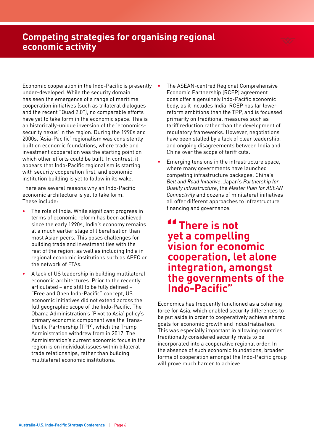# **Competing strategies for organising regional economic activity**

Economic cooperation in the Indo-Pacific is presently under-developed. While the security domain has seen the emergence of a range of maritime cooperation initiatives (such as trilateral dialogues and the recent "Quad 2.0"), no comparable efforts have yet to take form in the economic space. This is an historically-unique inversion of the 'economicssecurity nexus' in the region. During the 1990s and 2000s, 'Asia-Pacific' regionalism was consistently built on economic foundations, where trade and investment cooperation was the starting point on which other efforts could be built. In contrast, it appears that Indo-Pacific regionalism is starting with security cooperation first, and economic institution building is yet to follow in its wake.

There are several reasons why an Indo-Pacific economic architecture is yet to take form. These include:

- **•** The role of India. While significant progress in terms of economic reform has been achieved since the early 1990s, India's economy remains at a much earlier stage of liberalisation than most Asian peers. This poses challenges for building trade and investment ties with the rest of the region; as well as including India in regional economic institutions such as APEC or the network of FTAs.
- **•** A lack of US leadership in building multilateral economic architectures. Prior to the recently articulated – and still to be fully defined – "Free and Open Indo-Pacific" concept, US economic initiatives did not extend across the full geographic scope of the Indo-Pacific. The Obama Administration's 'Pivot to Asia' policy's primary economic component was the Trans-Pacific Partnership (TPP), which the Trump Administration withdrew from in 2017. The Administration's current economic focus in the region is on individual issues within bilateral trade relationships, rather than building multilateral economic institutions.
- **•** The ASEAN-centred Regional Comprehensive Economic Partnership (RCEP) agreement does offer a genuinely Indo-Pacific economic body, as it includes India. RCEP has far lower reform ambitions than the TPP, and is focussed primarily on traditional measures such as tariff reduction rather than the development of regulatory frameworks. However, negotiations have been stalled by a lack of clear leadership, and ongoing disagreements between India and China over the scope of tariff cuts.
- **•** Emerging tensions in the infrastructure space, where many governments have launched competing infrastructure packages. China's *Belt and Road Initiative*, Japan's *Partnership for Quality Infrastructure*, the *Master Plan for ASEAN Connectivity* and dozens of minilateral initiatives all offer different approaches to infrastructure financing and governance.

# **There is not yet a compelling vision for economic cooperation, let alone integration, amongst the governments of the Indo-Pacific"**

Economics has frequently functioned as a cohering force for Asia, which enabled security differences to be put aside in order to cooperatively achieve shared goals for economic growth and industrialisation. This was especially important in allowing countries traditionally considered security rivals to be incorporated into a cooperative regional order. In the absence of such economic foundations, broader forms of cooperation amongst the Indo-Pacific group will prove much harder to achieve.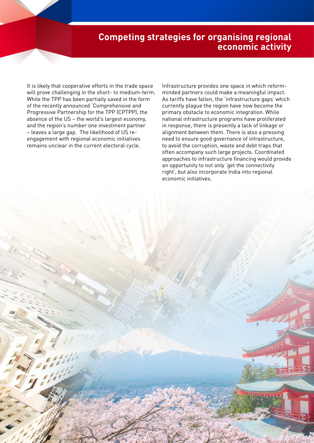# **Competing strategies for organising regional economic activity**

It is likely that cooperative efforts in the trade space will prove challenging in the short- to medium-term. While the TPP has been partially saved in the form of the recently announced 'Comprehensive and Progressive Partnership for the TPP (CPTPP), the absence of the US – the world's largest economy, and the region's number one investment partner – leaves a large gap. The likelihood of US reengagement with regional economic initiatives remains unclear in the current electoral cycle.

Infrastructure provides one space in which reformminded partners could make a meaningful impact. As tariffs have fallen, the 'infrastructure gaps' which currently plague the region have now become the primary obstacle to economic integration. While national infrastructure programs have proliferated in response, there is presently a lack of linkage or alignment between them. There is also a pressing need to ensure good governance of infrastructure, to avoid the corruption, waste and debt traps that often accompany such large projects. Coordinated approaches to infrastructure financing would provide an opportunity to not only 'get the connectivity right', but also incorporate India into regional economic initiatives.

**N. Mage 19 | Australia-U.S. Indo-Pacific Strategy Conference**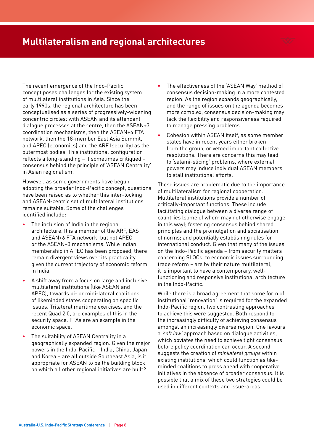# **Multilateralism and regional architectures**

The recent emergence of the Indo-Pacific concept poses challenges for the existing system of multilateral institutions in Asia. Since the early 1990s, the regional architecture has been conceptualised as a series of progressively-widening concentric circles: with ASEAN and its attendant dialogue processes at the centre, then the ASEAN+3 coordination mechanisms, then the ASEAN+6 FTA network, then the 18-member East Asia Summit, and APEC (economics) and the ARF (security) as the outermost bodies. This institutional configuration reflects a long-standing – if sometimes critiqued – consensus behind the principle of 'ASEAN Centrality' in Asian regionalism.

However, as some governments have begun adopting the broader Indo-Pacific concept, questions have been raised as to whether this inter-locking and ASEAN-centric set of multilateral institutions remains suitable. Some of the challenges identified include:

- **•** The inclusion of India in the regional architecture. It is a member of the ARF, EAS and ASEAN+6 FTA network; but not APEC or the ASEAN+3 mechanisms. While Indian membership in APEC has been proposed, there remain divergent views over its practicality given the current trajectory of economic reform in India.
- **•** A shift away from a focus on large and inclusive multilateral institutions (like ASEAN and APEC), towards bi- or mini-lateral coalitions of likeminded states cooperating on specific issues. Trilateral maritime exercises, and the recent Quad 2.0, are examples of this in the security space. FTAs are an example in the economic space.
- **•** The suitability of ASEAN Centrality in a geographically expanded region. Given the major powers in the Indo-Pacific – India, China, Japan and Korea – are all outside Southeast Asia, is it appropriate for ASEAN to be the building block on which all other regional initiatives are built?
- **•** The effectiveness of the 'ASEAN Way' method of consensus decision-making in a more contested region. As the region expands geographically, and the range of issues on the agenda becomes more complex, consensus decision-making may lack the flexibility and responsiveness required to manage pressing problems.
- **•** Cohesion within ASEAN itself, as some member states have in recent years either broken from the group, or vetoed important collective resolutions. There are concerns this may lead to 'salami-slicing' problems, where external powers may induce individual ASEAN members to stall institutional efforts.

These issues are problematic due to the importance of multilateralism for regional cooperation. Multilateral institutions provide a number of critically-important functions. These include facilitating dialogue between a diverse range of countries (some of whom may not otherwise engage in this way); fostering consensus behind shared principles and the promulgation and socialisation of norms; and potentially establishing rules for international conduct. Given that many of the issues on the Indo-Pacific agenda – from security matters concerning SLOCs, to economic issues surrounding trade reform – are by their nature multilateral, it is important to have a contemporary, wellfunctioning and responsive institutional architecture in the Indo-Pacific.

While there is a broad agreement that some form of institutional 'renovation' is required for the expanded Indo-Pacific region, two contrasting approaches to achieve this were suggested. Both respond to the increasingly difficulty of achieving consensus amongst an increasingly diverse region. One favours a *'soft law'* approach based on dialogue activities, which obviates the need to achieve tight consensus before policy coordination can occur. A second suggests the creation of *minilateral groups* within existing institutions, which could function as likeminded coalitions to press ahead with cooperative initiatives in the absence of broader consensus. It is possible that a mix of these two strategies could be used in different contexts and issue-areas.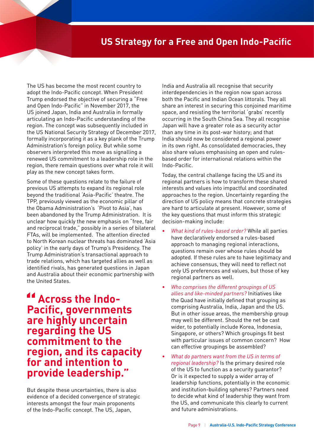# **US Strategy for a Free and Open Indo-Pacific**

The US has become the most recent country to adopt the Indo-Pacific concept. When President Trump endorsed the objective of securing a "Free and Open Indo-Pacific" in November 2017, the US joined Japan, India and Australia in formally articulating an Indo-Pacific understanding of the region. The concept was subsequently included in the US National Security Strategy of December 2017, formally incorporating it as a key plank of the Trump Administration's foreign policy. But while some observers interpreted this move as signalling a renewed US commitment to a leadership role in the region, there remain questions over what role it will play as the new concept takes form.

Some of these questions relate to the failure of previous US attempts to expand its regional role beyond the traditional 'Asia-Pacific' theatre. The TPP, previously viewed as the economic pillar of the Obama Administration's 'Pivot to Asia', has been abandoned by the Trump Administration. It is unclear how quickly the new emphasis on "free, fair and reciprocal trade," possibly in a series of bilateral FTAs, will be implemented. The attention directed to North Korean nuclear threats has dominated 'Asia policy' in the early days of Trump's Presidency. The Trump Administration's transactional approach to trade relations, which has targeted allies as well as identified rivals, has generated questions in Japan and Australia about their economic partnership with the United States.

**Across the Indo-Pacific, governments are highly uncertain regarding the US commitment to the region, and its capacity for and intention to provide leadership."**

But despite these uncertainties, there is also evidence of a decided convergence of strategic interests amongst the four main proponents of the Indo-Pacific concept. The US, Japan,

India and Australia all recognise that security interdependencies in the region now span across both the Pacific and Indian Ocean littorals. They all share an interest in securing this conjoined maritime space, and resisting the territorial 'grabs' recently occurring in the South China Sea. They all recognise Japan will have a greater role as a security actor than any time in its post-war history; and that India should now be considered a regional power in its own right. As consolidated democracies, they also share values emphasising an open and rulesbased order for international relations within the Indo-Pacific.

Today, the central challenge facing the US and its regional partners is how to transform these shared interests and values into impactful and coordinated approaches to the region. Uncertainty regarding the direction of US policy means that concrete strategies are hard to articulate at present. However, some of the key questions that must inform this strategic decision-making include:

- **•** *What kind of rules-based order?* While all parties have declaratively endorsed a rules-based approach to managing regional interactions, questions remain over whose rules should be adopted. If these rules are to have legitimacy and achieve consensus, they will need to reflect not only US preferences and values, but those of key regional partners as well.
- **•** *Who comprises the different groupings of US allies and like-minded partners?* Initiatives like the Quad have initially defined that grouping as comprising Australia, India, Japan and the US. But in other issue areas, the membership group may well be different. Should the net be cast wider, to potentially include Korea, Indonesia, Singapore, or others? Which groupings fit best with particular issues of common concern? How can effective groupings be assembled?
- **•** *What do partners want from the US in terms of regional leadership?* Is the primary desired role of the US to function as a security guarantor? Or is it expected to supply a wider array of leadership functions, potentially in the economic and institution-building spheres? Partners need to decide what kind of leadership they want from the US, and communicate this clearly to current and future administrations.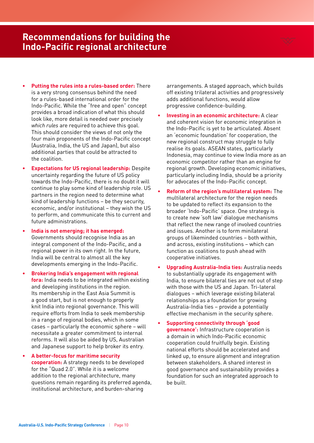#### **Australia-U.S. Indo-Pacific Strategy Conference** | Page 10

### **Recommendations for building the Indo-Pacific regional architecture**

- **• Putting the rules into a rules-based order:** There is a very strong consensus behind the need for a rules-based international order for the Indo-Pacific. While the "free and open" concept provides a broad indication of what this should look like, more detail is needed over precisely *which rules* are required to achieve this goal. This should consider the views of not only the four main proponents of the Indo-Pacific concept (Australia, India, the US and Japan), but also additional parties that could be attracted to the coalition.
- **• Expectations for US regional leadership:** Despite uncertainty regarding the future of US policy towards the Indo-Pacific, there is no doubt it will continue to play some kind of leadership role. US partners in the region need to determine what kind of leadership functions – be they security, economic, and/or institutional – they wish the US to perform, and communicate this to current and future administrations.
- **• India is not emerging; it has emerged:**  Governments should recognise India as an integral component of the Indo-Pacific, and a regional power in its own right. In the future, India will be central to almost all the key developments emerging in the Indo-Pacific.
- **• Brokering India's engagement with regional fora:** India needs to be integrated within existing and developing institutions in the region. Its membership in the East Asia Summit is a good start, but is not enough to properly knit India into regional governance. This will require efforts from India to seek membership in a range of regional bodies, which in some cases – particularly the economic sphere – will necessitate a greater commitment to internal reforms. It will also be aided by US, Australian and Japanese support to help broker its entry.

**• A better-focus for maritime security cooperation:** A strategy needs to be developed for the "Quad 2.0". While it is a welcome addition to the regional architecture, many questions remain regarding its preferred agenda, institutional architecture, and burden-sharing

arrangements. A staged approach, which builds off existing trilateral activities and progressively adds additional functions, would allow progressive confidence-building.

- **• Investing in an economic architecture:** A clear and coherent vision for economic integration in the Indo-Pacific is yet to be articulated. Absent an 'economic foundation' for cooperation, the new regional construct may struggle to fully realise its goals. ASEAN states, particularly Indonesia, may continue to view India more as an economic competitor rather than an engine for regional growth. Developing economic initiatives, particularly including India, should be a priority for advocates of the Indo-Pacific concept.
- **• Reform of the region's multilateral system:** The multilateral architecture for the region needs to be updated to reflect its expansion to the broader 'Indo-Pacific' space. One strategy is to create new 'soft law' dialogue mechanisms that reflect the new range of involved countries and issues. Another is to form minilateral groups of likeminded countries – both within, and across, existing institutions – which can function as coalitions to push ahead with cooperative initiatives.
- **• Upgrading Australia-India ties:** Australia needs to substantially upgrade its engagement with India, to ensure bilateral ties are not out of step with those with the US and Japan. Tri-lateral dialogues – which leverage existing bilateral relationships as a foundation for growing Australia-India ties – provide a potentially effective mechanism in the security sphere.
- **• Supporting connectivity through 'good governance':** Infrastructure cooperation is a domain in which Indo-Pacific economic cooperation could fruitfully begin. Existing national efforts should be accelerated and linked up, to ensure alignment and integration between stakeholders. A shared interest in good governance and sustainability provides a foundation for such an integrated approach to be built.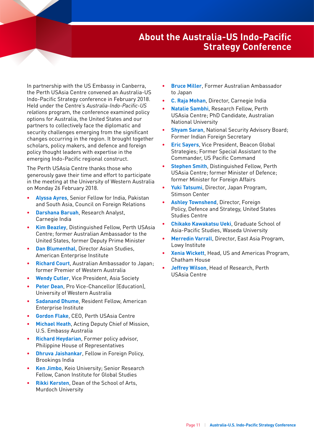# **About the Australia-US Indo-Pacific Strategy Conference**

In partnership with the US Embassy in Canberra, the Perth USAsia Centre convened an Australia-US Indo-Pacific Strategy conference in February 2018. Held under the Centre's Australia-Indo-Pacific-US *relations* program, the conference examined policy options for Australia, the United States and our partners to collectively face the diplomatic and security challenges emerging from the significant changes occurring in the region. It brought together scholars, policy makers, and defence and foreign policy thought leaders with expertise in the emerging Indo-Pacific regional construct.

The Perth USAsia Centre thanks those who generously gave their time and effort to participate in the meeting at the University of Western Australia on Monday 26 February 2018.

- **• Alyssa Ayres**, Senior Fellow for India, Pakistan and South Asia, Council on Foreign Relations
- **• Darshana Baruah**, Research Analyst, Carnegie India
- **• Kim Beazley**, Distinguished Fellow, Perth USAsia Centre; former Australian Ambassador to the United States, former Deputy Prime Minister
- **• Dan Blumenthal**, Director Asian Studies, American Enterprise Institute
- **• Richard Court**, Australian Ambassador to Japan; former Premier of Western Australia
- **• Wendy Cutler**, Vice President, Asia Society
- **• Peter Dean**, Pro Vice-Chancellor (Education), University of Western Australia
- **• Sadanand Dhume**, Resident Fellow, American Enterprise Institute
- **• Gordon Flake**, CEO, Perth USAsia Centre
- **• Michael Heath**, Acting Deputy Chief of Mission, U.S. Embassy Australia
- **• Richard Heydarian**, Former policy advisor, Philippine House of Representatives
- **• Dhruva Jaishankar**, Fellow in Foreign Policy, Brookings India
- **• Ken Jimbo**, Keio University; Senior Research Fellow, Canon Institute for Global Studies
- **• Rikki Kersten**, Dean of the School of Arts, Murdoch University
- **• Bruce Miller**, Former Australian Ambassador to Japan
- **• C. Raja Mohan**, Director, Carnegie India
- **• Natalie Sambhi**, Research Fellow, Perth USAsia Centre; PhD Candidate, Australian National University
- **• Shyam Saran**, National Security Advisory Board; Former Indian Foreign Secretary
- **• Eric Sayers**, Vice President, Beacon Global Strategies; Former Special Assistant to the Commander, US Pacific Command
- **• Stephen Smith**, Distinguished Fellow, Perth USAsia Centre; former Minister of Defence; former Minister for Foreign Affairs
- **• Yuki Tatsumi**, Director, Japan Program, Stimson Center
- **• Ashley Townshend**, Director, Foreign Policy, Defence and Strategy, United States Studies Centre
- **• Chikako Kawakatsu Ueki**, Graduate School of Asia-Pacific Studies, Waseda University
- **• Merredin Varrall**, Director, East Asia Program, Lowy Institute
- **• Xenia Wickett**, Head, US and Americas Program, Chatham House
- **• Jeffrey Wilson**, Head of Research, Perth USAsia Centre